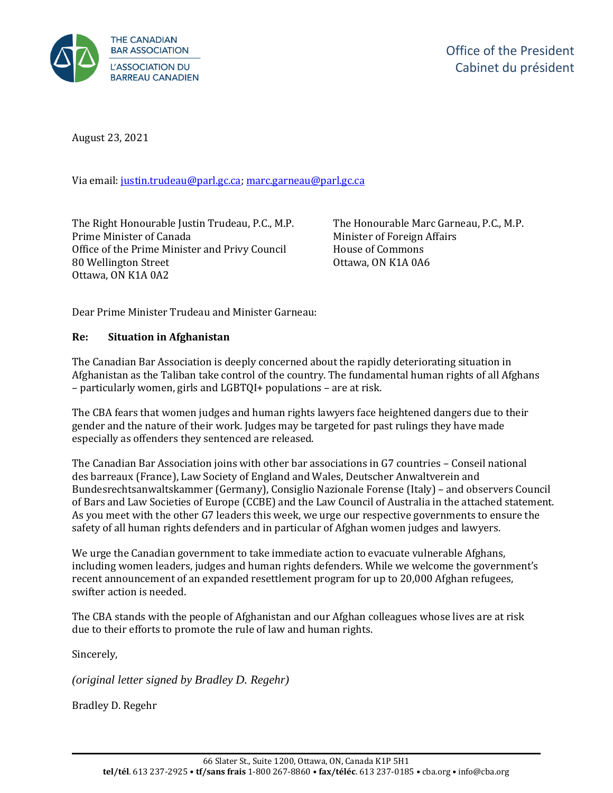

August 23, 2021

Via email[: justin.trudeau@parl.gc.ca;](mailto:justin.trudeau@parl.gc.ca) [marc.garneau@parl.gc.ca](mailto:marc.garneau@parl.gc.ca)

The Right Honourable Justin Trudeau, P.C., M.P. Prime Minister of Canada Office of the Prime Minister and Privy Council 80 Wellington Street Ottawa, ON K1A 0A2

The Honourable Marc Garneau, P.C., M.P. Minister of Foreign Affairs House of Commons Ottawa, ON K1A 0A6

Dear Prime Minister Trudeau and Minister Garneau:

## **Re: Situation in Afghanistan**

The Canadian Bar Association is deeply concerned about the rapidly deteriorating situation in Afghanistan as the Taliban take control of the country. The fundamental human rights of all Afghans – particularly women, girls and LGBTQI+ populations – are at risk.

The CBA fears that women judges and human rights lawyers face heightened dangers due to their gender and the nature of their work. Judges may be targeted for past rulings they have made especially as offenders they sentenced are released.

The Canadian Bar Association joins with other bar associations in G7 countries – Conseil national des barreaux (France), Law Society of England and Wales, Deutscher Anwaltverein and Bundesrechtsanwaltskammer (Germany), Consiglio Nazionale Forense (Italy) – and observers Council of Bars and Law Societies of Europe (CCBE) and the Law Council of Australia in the attached statement. As you meet with the other G7 leaders this week, we urge our respective governments to ensure the safety of all human rights defenders and in particular of Afghan women judges and lawyers.

We urge the Canadian government to take immediate action to evacuate vulnerable Afghans, including women leaders, judges and human rights defenders. While we welcome the government's recent announcement of an expanded resettlement program for up to 20,000 Afghan refugees, swifter action is needed.

The CBA stands with the people of Afghanistan and our Afghan colleagues whose lives are at risk due to their efforts to promote the rule of law and human rights.

Sincerely,

*(original letter signed by Bradley D. Regehr)*

Bradley D. Regehr